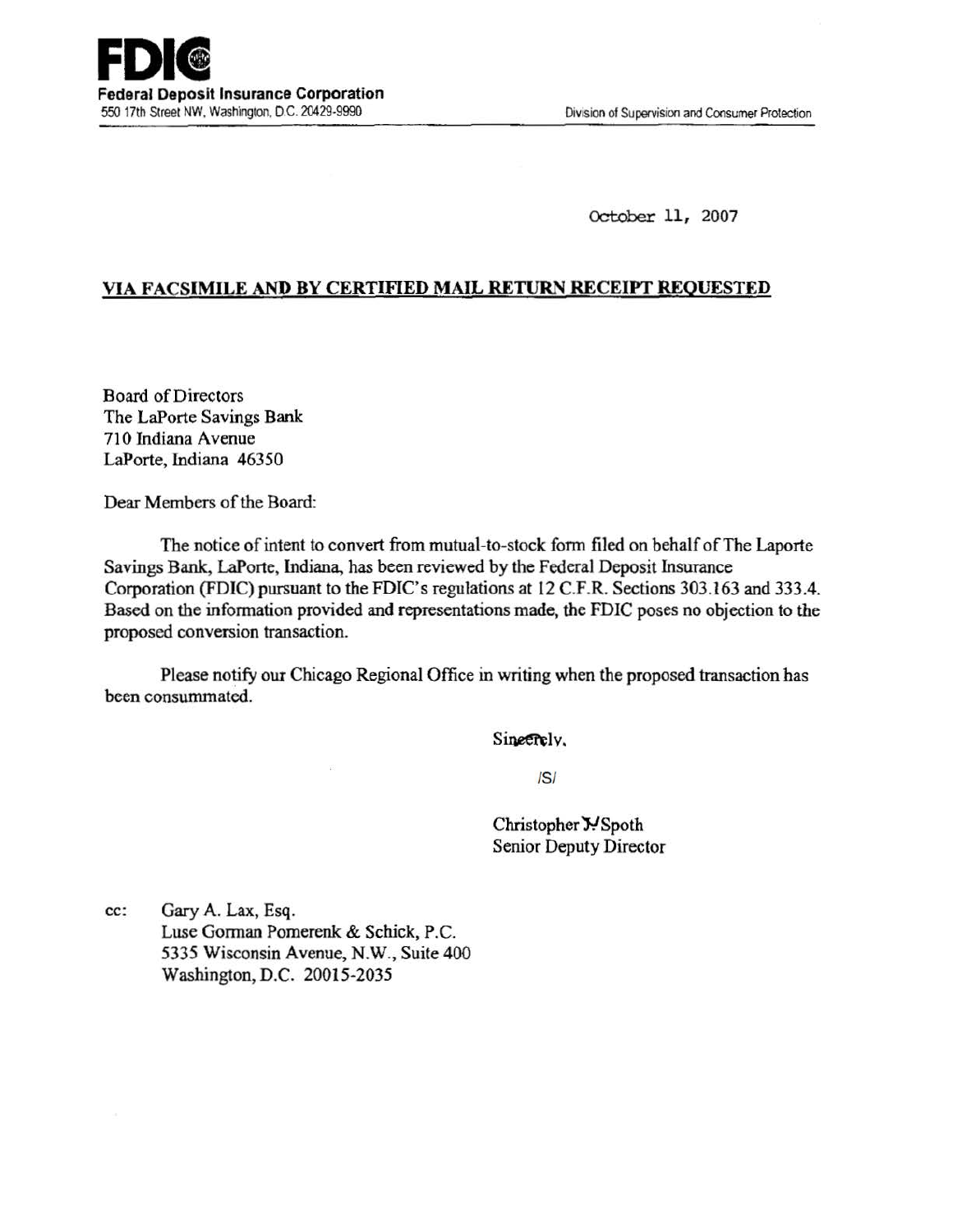October 11, 2007

## VIA FACSIMILE AND BY CERTIFIED MAIL RETURN RECEIPT REQUESTED

Board of Directors The LaPorte Savings Bank 710 Indiana Avenue LaPorte, Indiana 46350

Dear Members of the Board:

The notice of intent to convert from mutual-to-stock form filed on behalf of The Laporte Savings Bank, LaPorte, Indiana, has been reviewed by the Federal Deposit Insurance Corporation (FDIC) pursuant to the FDIC's regulations at 12 C.F.R. Sections 303.163 and 333.4. Based on the information provided and representations made, the FDIC poses no objection to the proposed conversion transaction.

Please notify our Chicago Regional Office in writing when the proposed transaction has been consummated.

Sineerely.

IS/

Christopher Y. Spoth Senior Deputy Director

cc: Gary A. Lax, Esq. Luse Gorman Pomerenk & Schick, P.C. 5335 Wisconsin Avenue, N.W., Suite 400 Washington, D.C. 20015-2035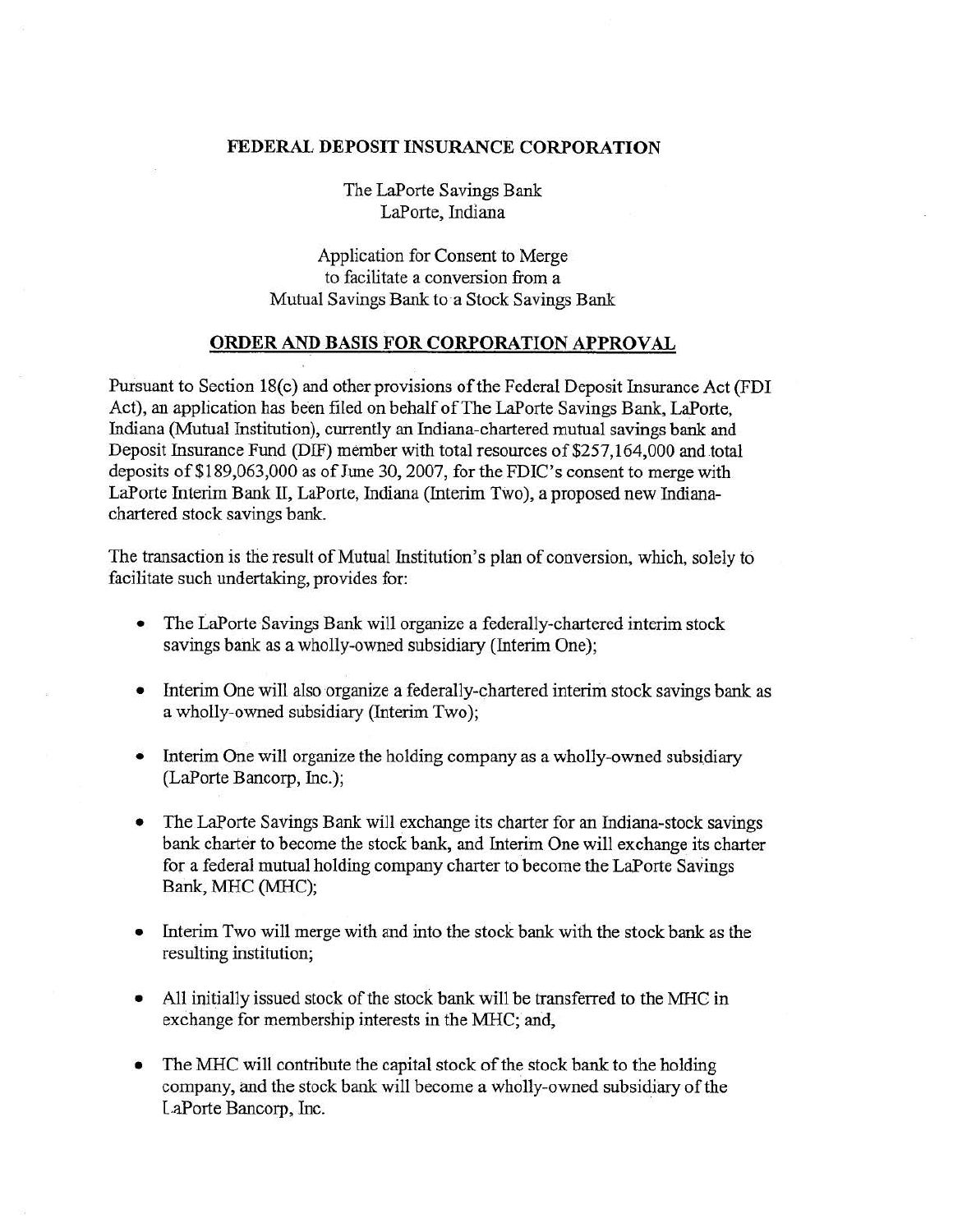## FEDERAL DEPOSIT INSURANCE CORPORATION

The LaPorte Savings Bank LaPorte, Indiana

Application for Consent to Merge to facilitate a conversion from a Mutual Savings Bank to a Stock Savings Bank

## ORDER AND BASIS FOR CORPORATION APPROVAL

Pursuant to Section 18(c) and other provisions of the Federal Deposit Insurance Act (FDI Act), an application has been filed on behalf of The LaPorte Savings Bank, LaPorte, Indiana (Mutual Institution), currently an Indiana-chartered mutual savings bank and Deposit Insurance Fund (DIF) member with total resources of \$257,164,000 and total deposits of \$189,063,000 as of June 30, 2007, for the FDIC's consent to merge with LaPorte Interim Bank II, LaPorte, Indiana (Interim TWo), a proposed new Indianachartered stock savings bank.

The transaction is the result of Mutual Institution's plan of conversion, which, solely to facilitate such undertaking, provides for:

- The LaPorte Savings Bank will organize a federally-chartered interim stock savings bank as a wholly-owned subsidiary (Interim One);
- Interim One will also organize a federally-chartered interim stock savings bank as a wholly-owned subsidiary (Interim Two);
- Interim One will organize the holding company as a wholly-owned subsidiary (LaPorte Bancorp, Inc.);
- The LaPorte Savings Bank will exchange its charter for an Indiana-stock savings bank charter to become the stock bank, and Interim One will exchange its charter for a federal mutual holding company charter to become the LaPorte Savings Bank, MHC (MHC);
- Interim Two will merge with and into the stock bank with the stock bank as the resulting institution;
- All initially issued stock of the stock bank will be transferred to the MHC in exchange for membership interests in the MHC; and,
- The MHC will contribute the capital stock of the stock bank to the holding company, and the stock bank will become a wholly-owned subsidiary of the LaPorte Bancorp, Inc.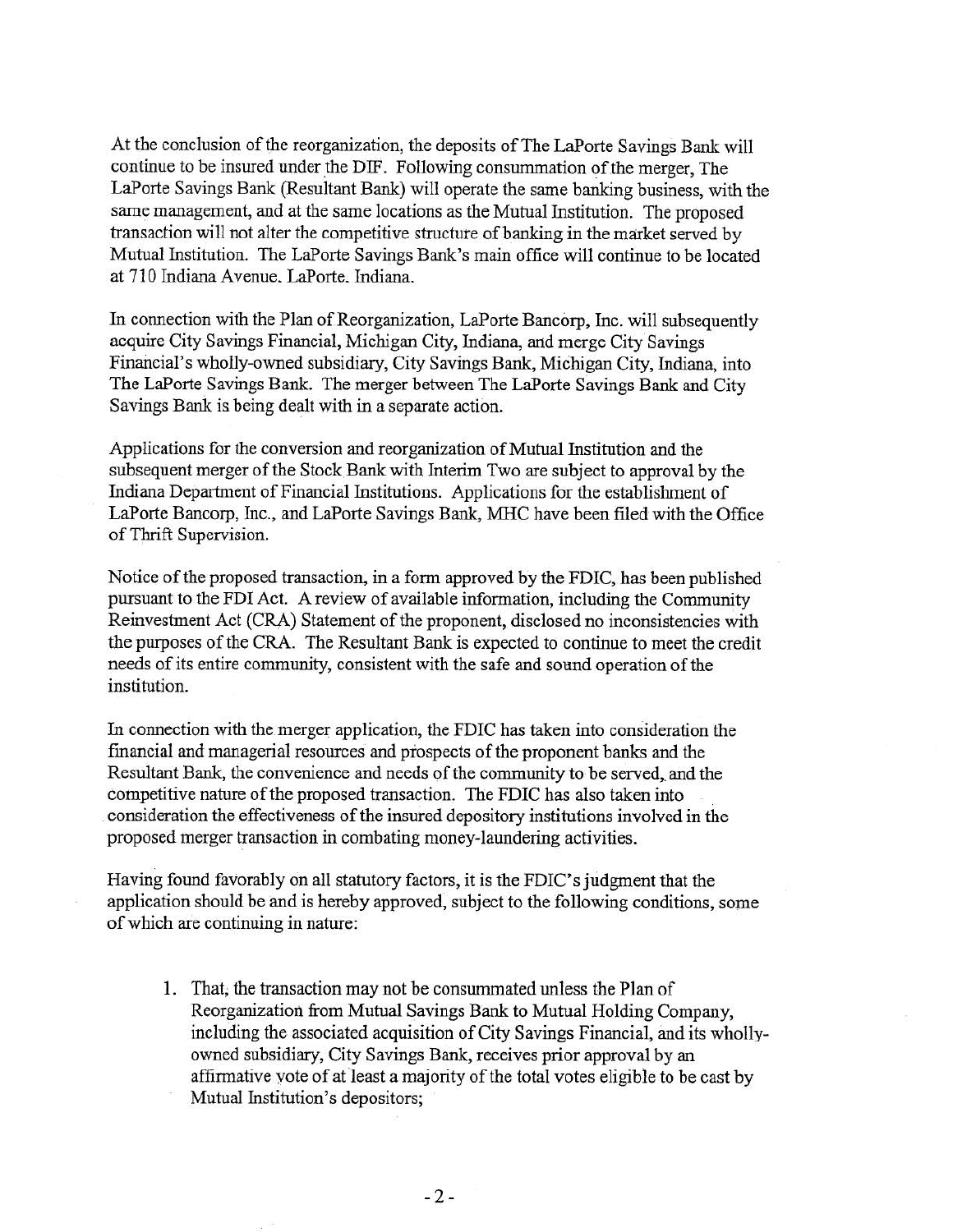At the conclusion of the reorganization, the deposits of The LaPorte Savings Bank will continue to be insured under the DIF. Following consummation of the merger, The LaPorte Savings Bank (Resultant Bank) will operate the same banking business, with the same management, and at the same locations as the Mutual Institution. The proposed transaction will not alter the competitive structure of banking in the market served by Mutual Institution. The LaPorte Savings Bank's main office will continue to be located at 710 Indiana Avenue. LaPorte. Indiana.

In connection with the Plan of Reorganization, LaPorte Bancorp, Inc. will subsequently acquire City Savings Financial, Michigan City, Indiana, and merge City' Savings Financial's wholly-owned subsidiary, City Savings Bank, Michigan City, Indiana, into The LaPorte Savings Bank. The merger between The LaPorte Savings Bank and City Savings Bank is being dealt with in a separate action.

Applications for the conversion and reorganization of Mutual Institution and the subsequent merger of the Stock Bank with Interim Two are subject to approval by the Indiana Department of Financial Institutions. Applications for the establishment of LaPorte Bancorp, Inc., and LaPorte Savings Bank, MHC have been flled with the Office of Thrift Supervision.

Notice of the proposed transaction, in a form approved by the FDIC, has been published pursuant to the FDI Act. A review of available information, including the Community Reinvestment Act (CRA) Statement of the proponent, disclosed no inconsistencies With the purposes of the CRA. The Resultant Bank is expected to continue to meet the credit needs of its entire community, consistent with the safe and sound operation of the institution.

In connection with the merger application, the FDIC has taken into consideration the financial and managerial resources and prospects of the proponent banks and the Resultant Bank, the convenience and needs of the community to be served, and the competitive nature of the proposed transaction. The FDIC has also taken into consideration the effectiveness of the insured depository institutions involved in the proposed merger transaction in combating money-laundering activities.

Having found favorably on all statutory factors, it is the FDIC's judgment that the application should be and is hereby approved, subject to the following conditions, some of which are continuing in nature:

1. That; the transaction may not be conswnmated unless the Plan of Reorganization from Mutual Savings Bank to Mutual Holding Company, including the associated acquisition of City Savings Financial, and its whollyowned subsidiary, City Savings Bank, receives prior approval by an affirmative yote of at least a majority of the total votes eligible to be cast by Mutual Institution's depositors;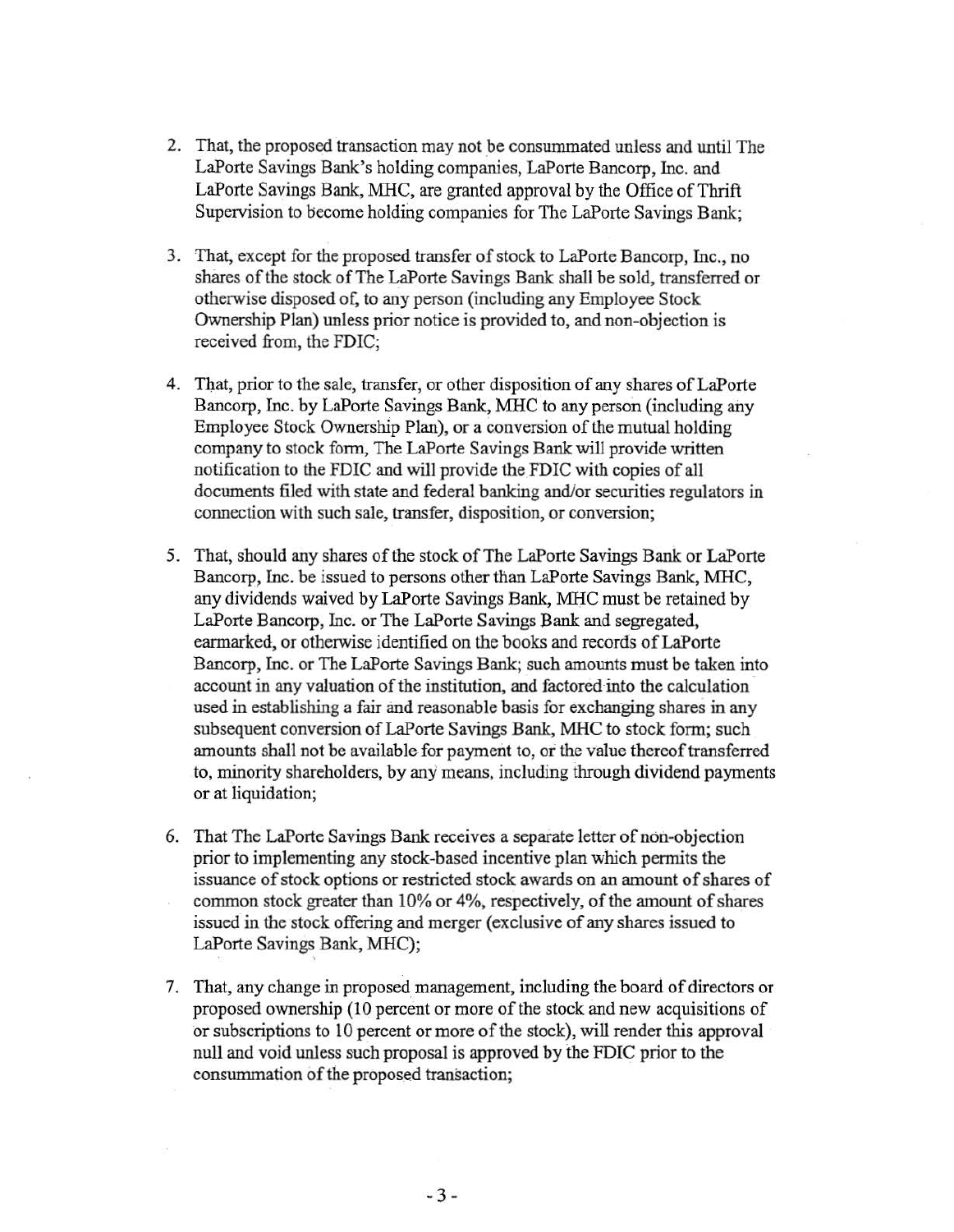- 2. That, the proposed transaction may not be consummated unless and until The LaPorte Savings Bank's holding companies, LaPorte Bancorp, Inc. and LaPorte Savings Bank, MHC, are granted approval by the Office of Thrift Supervision to become holding companies for The LaPorte Savings Bank;
- 3. That, except for the proposed transfer of stock to LaPorte Bancorp, Inc., no shares of the stock of The LaPorte Savings Bank shall be sold, transferred or otherwise disposed of, to any person (including any Employee Stock Ownership Plan) unless prior notice is provided to, and non-objection is received from, the FDIC;
- 4 . That, prior to the sale, transfer, or other disposition of any shares of LaPorte Bancorp, Inc. by LaPorte Savings Bank, MHC to any person (including any Employee Stock Ownership Plan), or a conversion of the mutual holding company to stock form, The LaPorte Savings Bank will provide written notification to the FDIC and will provide the FDIC with copies of all documents filed with state and federal banking and/or securities regulators in connection with such sale, transfer, disposition, or conversion;
- 5. That, should any shares of the stock of The LaPorte Savings Bank or LaPorte Bancorp, Inc. be issued to persons other than LaPorte Savings Bank, MHC, any dividends waived by LaPorte Savings Bank, MHC must be retained by LaPorte Bancorp, Inc. or The LaPorte Savings Bank and segregated, earmarked, or otherwise identified on the books and records of LaPorte Bancorp, Inc. or The LaPorte Savings Bank; such amounts must be taken into account in any valuation of the institution, and factored into the calculation used in establishing a fair and reasonable basis for exchanging shares in any subsequent conversion of LaPorte Savings Bank, MHC to stock form; such amounts shall not be available for payment to, or the value thereof transferred to, minority shareholders, by any means, including through dividend payments or at liquidation;
- 6. That The LaPorte Savings Bank receives a separate letter of non-objection prior to implementing any stock-based incentive plan which permits the issuance of stock options or restricted stock awards on an amount of shares of common stock greater than 10% or 4%, respectively, of the amount of shares issued in the stock offering and merger (exclusive of any shares issued to LaPorte Savings Bank, MHC);

'

7. That, any change in proposed management, including the board of directors or proposed ownership (10 percent or more of the stock and new acquisitions of or subscriptions to 10 percent or more of the stock), will render this approval null and void unless such proposal is approved by the FDIC prior to the consummation of the proposed transaction;